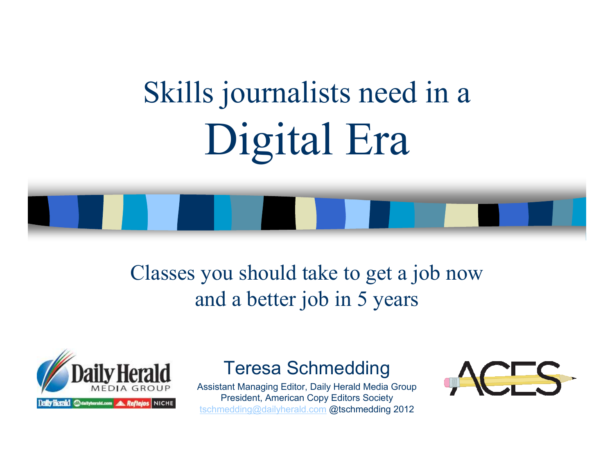# Skills journalists need in aDigital Era

#### Classes you should take to get a job nowand a better job in 5 years



#### Teresa Schmedding

 Assistant Managing Editor, Daily Herald Media GroupPresident, American Copy Editors Societytschmedding@dailyherald.com @tschmedding 2012

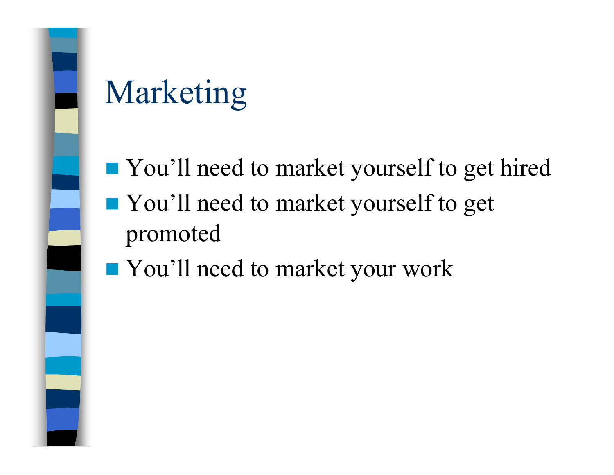## Marketing

- You'll need to market yourself to get hired **T** You'll need to market yourself to get promoted
- You'll need to market your work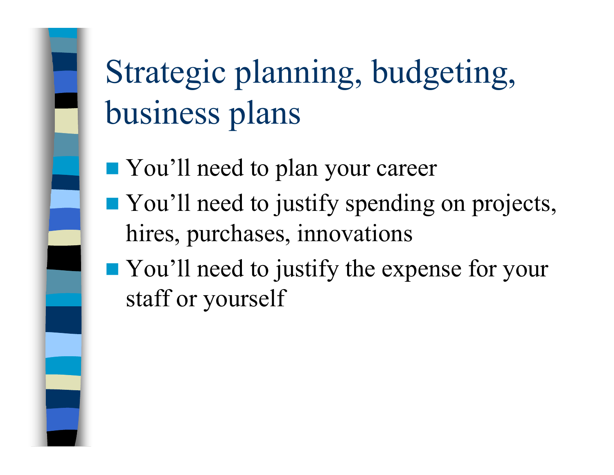## Strategic planning, budgeting, business plans

- You'll need to plan your career
- You'll need to justify spending on projects, hires, purchases, innovations
- **Nou'll need to justify the expense for your** staff or yourself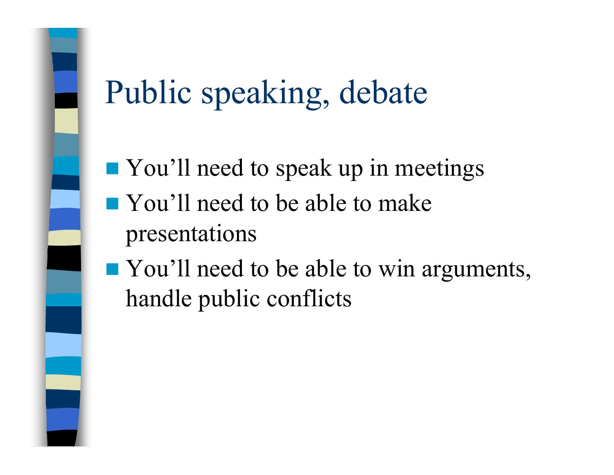#### Public speaking, debate

- **T** You'll need to speak up in meetings You'll need to be able to make
	- presentations
- You'll need to be able to win arguments, handle public conflicts

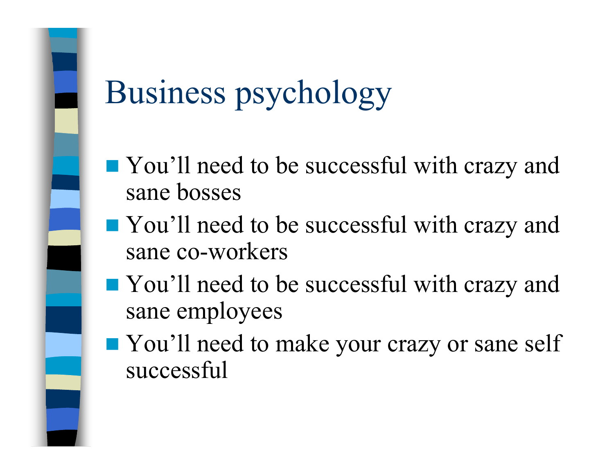## Business psychology

- You'll need to be successful with crazy and sane bosses
- You'll need to be successful with crazy and sane co-workers
- You'll need to be successful with crazy and sane employees
- You'll need to make your crazy or sane self successful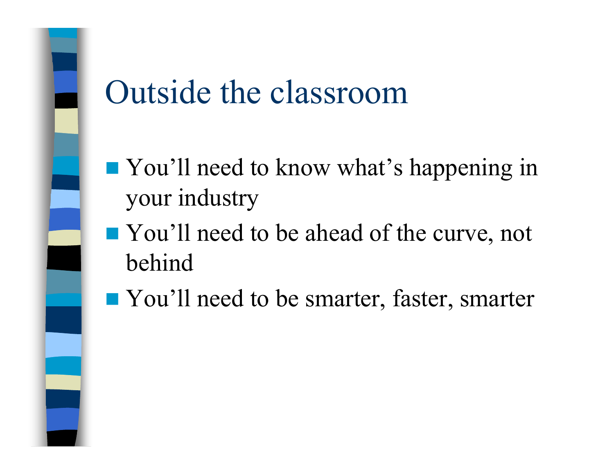#### Outside the classroom

- **T** You'll need to know what's happening in your industry
- You'll need to be ahead of the curve, not behind
- You'll need to be smarter, faster, smarter